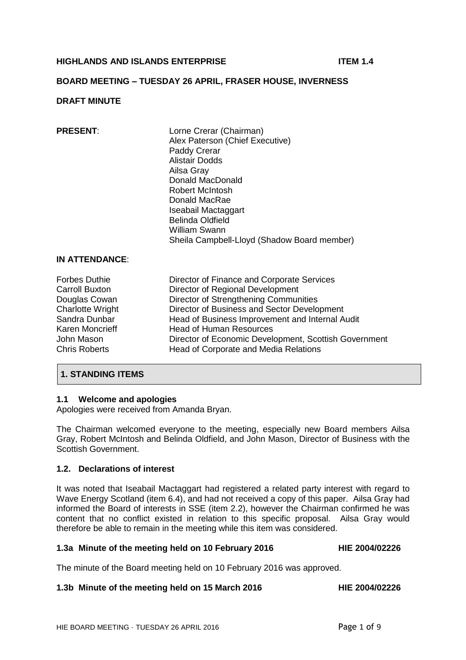# **HIGHLANDS AND ISLANDS ENTERPRISE ITEM 1.4**

### **BOARD MEETING – TUESDAY 26 APRIL, FRASER HOUSE, INVERNESS**

### **DRAFT MINUTE**

**PRESENT:** Lorne Crerar (Chairman) Alex Paterson (Chief Executive) Paddy Crerar Alistair Dodds Ailsa Gray Donald MacDonald Robert McIntosh Donald MacRae Iseabail Mactaggart Belinda Oldfield William Swann Sheila Campbell-Lloyd (Shadow Board member)

#### **IN ATTENDANCE**:

Forbes Duthie **Director of Finance and Corporate Services**<br>Carroll Buxton **Director of Regional Development** Director of Regional Development Douglas Cowan **Director of Strengthening Communities**<br>Charlotte Wright **Director of Business and Sector Develo** Director of Business and Sector Development Sandra Dunbar Head of Business Improvement and Internal Audit Karen Moncrieff Head of Human Resources John Mason **Director of Economic Development, Scottish Government**<br>Chris Roberts **Director of Corporate and Media Relations** Head of Corporate and Media Relations

# **1. STANDING ITEMS**

#### **1.1 Welcome and apologies**

Apologies were received from Amanda Bryan.

The Chairman welcomed everyone to the meeting, especially new Board members Ailsa Gray, Robert McIntosh and Belinda Oldfield, and John Mason, Director of Business with the Scottish Government.

#### **1.2. Declarations of interest**

It was noted that Iseabail Mactaggart had registered a related party interest with regard to Wave Energy Scotland (item 6.4), and had not received a copy of this paper. Ailsa Gray had informed the Board of interests in SSE (item 2.2), however the Chairman confirmed he was content that no conflict existed in relation to this specific proposal. Ailsa Gray would therefore be able to remain in the meeting while this item was considered.

#### **1.3a Minute of the meeting held on 10 February 2016 HIE 2004/02226**

The minute of the Board meeting held on 10 February 2016 was approved.

#### **1.3b Minute of the meeting held on 15 March 2016 HIE 2004/02226**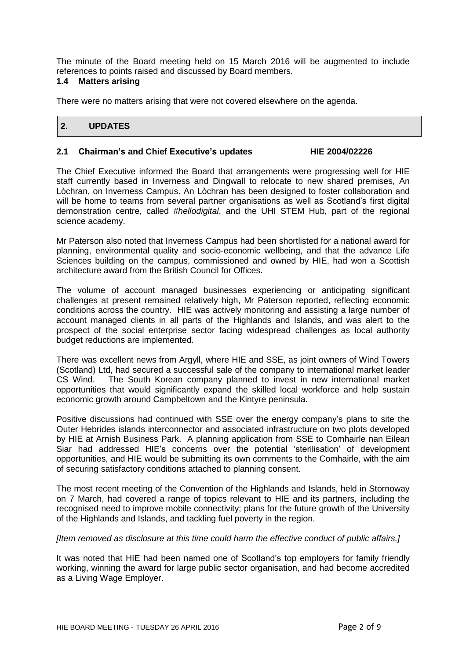The minute of the Board meeting held on 15 March 2016 will be augmented to include references to points raised and discussed by Board members.

### **1.4 Matters arising**

There were no matters arising that were not covered elsewhere on the agenda.

# **2. UPDATES**

#### **2.1 Chairman's and Chief Executive's updates HIE 2004/02226**

The Chief Executive informed the Board that arrangements were progressing well for HIE staff currently based in Inverness and Dingwall to relocate to new shared premises, An Lòchran, on Inverness Campus. An Lòchran has been designed to foster collaboration and will be home to teams from several partner organisations as well as Scotland's first digital demonstration centre, called *#hellodigital*, and the UHI STEM Hub, part of the regional science academy.

Mr Paterson also noted that Inverness Campus had been shortlisted for a national award for planning, environmental quality and socio-economic wellbeing, and that the advance Life Sciences building on the campus, commissioned and owned by HIE, had won a Scottish architecture award from the British Council for Offices.

The volume of account managed businesses experiencing or anticipating significant challenges at present remained relatively high, Mr Paterson reported, reflecting economic conditions across the country. HIE was actively monitoring and assisting a large number of account managed clients in all parts of the Highlands and Islands, and was alert to the prospect of the social enterprise sector facing widespread challenges as local authority budget reductions are implemented.

There was excellent news from Argyll, where HIE and SSE, as joint owners of Wind Towers (Scotland) Ltd, had secured a successful sale of the company to international market leader CS Wind. The South Korean company planned to invest in new international market opportunities that would significantly expand the skilled local workforce and help sustain economic growth around Campbeltown and the Kintyre peninsula.

Positive discussions had continued with SSE over the energy company's plans to site the Outer Hebrides islands interconnector and associated infrastructure on two plots developed by HIE at Arnish Business Park. A planning application from SSE to Comhairle nan Eilean Siar had addressed HIE's concerns over the potential 'sterilisation' of development opportunities, and HIE would be submitting its own comments to the Comhairle, with the aim of securing satisfactory conditions attached to planning consent.

The most recent meeting of the Convention of the Highlands and Islands, held in Stornoway on 7 March, had covered a range of topics relevant to HIE and its partners, including the recognised need to improve mobile connectivity; plans for the future growth of the University of the Highlands and Islands, and tackling fuel poverty in the region.

#### *[Item removed as disclosure at this time could harm the effective conduct of public affairs.]*

It was noted that HIE had been named one of Scotland's top employers for family friendly working, winning the award for large public sector organisation, and had become accredited as a Living Wage Employer.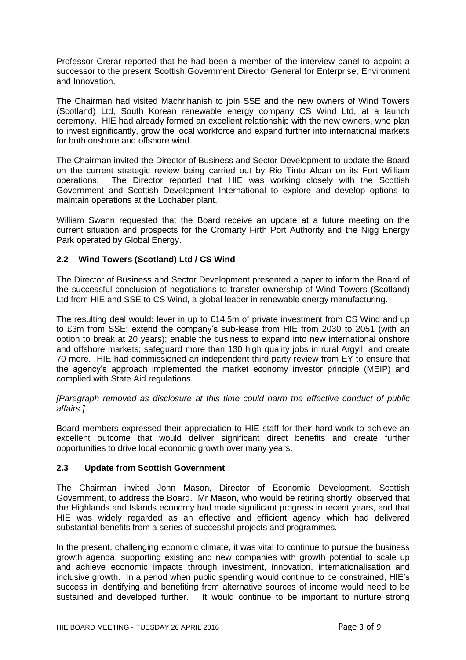Professor Crerar reported that he had been a member of the interview panel to appoint a successor to the present Scottish Government Director General for Enterprise, Environment and Innovation.

The Chairman had visited Machrihanish to join SSE and the new owners of Wind Towers (Scotland) Ltd, South Korean renewable energy company CS Wind Ltd, at a launch ceremony. HIE had already formed an excellent relationship with the new owners, who plan to invest significantly, grow the local workforce and expand further into international markets for both onshore and offshore wind.

The Chairman invited the Director of Business and Sector Development to update the Board on the current strategic review being carried out by Rio Tinto Alcan on its Fort William operations. The Director reported that HIE was working closely with the Scottish Government and Scottish Development International to explore and develop options to maintain operations at the Lochaber plant.

William Swann requested that the Board receive an update at a future meeting on the current situation and prospects for the Cromarty Firth Port Authority and the Nigg Energy Park operated by Global Energy.

# **2.2 Wind Towers (Scotland) Ltd / CS Wind**

The Director of Business and Sector Development presented a paper to inform the Board of the successful conclusion of negotiations to transfer ownership of Wind Towers (Scotland) Ltd from HIE and SSE to CS Wind, a global leader in renewable energy manufacturing.

The resulting deal would: lever in up to £14.5m of private investment from CS Wind and up to £3m from SSE; extend the company's sub-lease from HIE from 2030 to 2051 (with an option to break at 20 years); enable the business to expand into new international onshore and offshore markets; safeguard more than 130 high quality jobs in rural Argyll, and create 70 more. HIE had commissioned an independent third party review from EY to ensure that the agency's approach implemented the market economy investor principle (MEIP) and complied with State Aid regulations.

*[Paragraph removed as disclosure at this time could harm the effective conduct of public affairs.]*

Board members expressed their appreciation to HIE staff for their hard work to achieve an excellent outcome that would deliver significant direct benefits and create further opportunities to drive local economic growth over many years.

# **2.3 Update from Scottish Government**

The Chairman invited John Mason, Director of Economic Development, Scottish Government, to address the Board. Mr Mason, who would be retiring shortly, observed that the Highlands and Islands economy had made significant progress in recent years, and that HIE was widely regarded as an effective and efficient agency which had delivered substantial benefits from a series of successful projects and programmes.

In the present, challenging economic climate, it was vital to continue to pursue the business growth agenda, supporting existing and new companies with growth potential to scale up and achieve economic impacts through investment, innovation, internationalisation and inclusive growth. In a period when public spending would continue to be constrained, HIE's success in identifying and benefiting from alternative sources of income would need to be sustained and developed further. It would continue to be important to nurture strong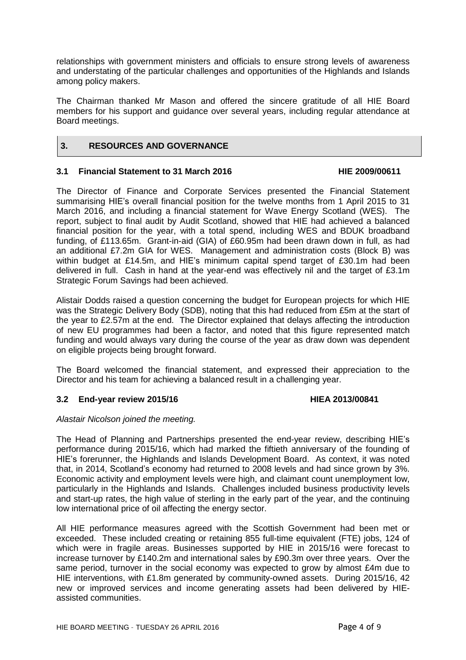relationships with government ministers and officials to ensure strong levels of awareness and understating of the particular challenges and opportunities of the Highlands and Islands among policy makers.

The Chairman thanked Mr Mason and offered the sincere gratitude of all HIE Board members for his support and guidance over several years, including regular attendance at Board meetings.

# **3. RESOURCES AND GOVERNANCE**

### **3.1 Financial Statement to 31 March 2016 HIE 2009/00611**

The Director of Finance and Corporate Services presented the Financial Statement summarising HIE's overall financial position for the twelve months from 1 April 2015 to 31 March 2016, and including a financial statement for Wave Energy Scotland (WES). The report, subject to final audit by Audit Scotland, showed that HIE had achieved a balanced financial position for the year, with a total spend, including WES and BDUK broadband funding, of £113.65m. Grant-in-aid (GIA) of £60.95m had been drawn down in full, as had an additional £7.2m GIA for WES. Management and administration costs (Block B) was within budget at £14.5m, and HIE's minimum capital spend target of £30.1m had been delivered in full. Cash in hand at the year-end was effectively nil and the target of £3.1m Strategic Forum Savings had been achieved.

Alistair Dodds raised a question concerning the budget for European projects for which HIE was the Strategic Delivery Body (SDB), noting that this had reduced from £5m at the start of the year to £2.57m at the end. The Director explained that delays affecting the introduction of new EU programmes had been a factor, and noted that this figure represented match funding and would always vary during the course of the year as draw down was dependent on eligible projects being brought forward.

The Board welcomed the financial statement, and expressed their appreciation to the Director and his team for achieving a balanced result in a challenging year.

# **3.2 End-year review 2015/16 HIEA 2013/00841**

# *Alastair Nicolson joined the meeting.*

The Head of Planning and Partnerships presented the end-year review, describing HIE's performance during 2015/16, which had marked the fiftieth anniversary of the founding of HIE's forerunner, the Highlands and Islands Development Board. As context, it was noted that, in 2014, Scotland's economy had returned to 2008 levels and had since grown by 3%. Economic activity and employment levels were high, and claimant count unemployment low, particularly in the Highlands and Islands. Challenges included business productivity levels and start-up rates, the high value of sterling in the early part of the year, and the continuing low international price of oil affecting the energy sector.

All HIE performance measures agreed with the Scottish Government had been met or exceeded. These included creating or retaining 855 full-time equivalent (FTE) jobs, 124 of which were in fragile areas. Businesses supported by HIE in 2015/16 were forecast to increase turnover by £140.2m and international sales by £90.3m over three years. Over the same period, turnover in the social economy was expected to grow by almost £4m due to HIE interventions, with £1.8m generated by community-owned assets. During 2015/16, 42 new or improved services and income generating assets had been delivered by HIEassisted communities.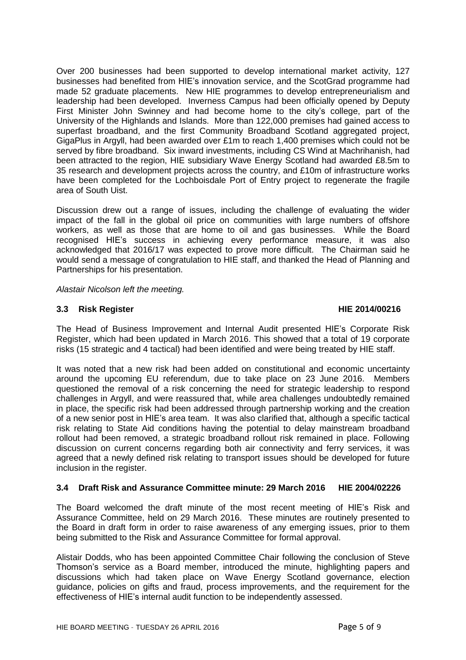Over 200 businesses had been supported to develop international market activity, 127 businesses had benefited from HIE's innovation service, and the ScotGrad programme had made 52 graduate placements. New HIE programmes to develop entrepreneurialism and leadership had been developed. Inverness Campus had been officially opened by Deputy First Minister John Swinney and had become home to the city's college, part of the University of the Highlands and Islands. More than 122,000 premises had gained access to superfast broadband, and the first Community Broadband Scotland aggregated project, GigaPlus in Argyll, had been awarded over £1m to reach 1,400 premises which could not be served by fibre broadband. Six inward investments, including CS Wind at Machrihanish, had been attracted to the region, HIE subsidiary Wave Energy Scotland had awarded £8.5m to 35 research and development projects across the country, and £10m of infrastructure works have been completed for the Lochboisdale Port of Entry project to regenerate the fragile area of South Uist.

Discussion drew out a range of issues, including the challenge of evaluating the wider impact of the fall in the global oil price on communities with large numbers of offshore workers, as well as those that are home to oil and gas businesses. While the Board recognised HIE's success in achieving every performance measure, it was also acknowledged that 2016/17 was expected to prove more difficult. The Chairman said he would send a message of congratulation to HIE staff, and thanked the Head of Planning and Partnerships for his presentation.

*Alastair Nicolson left the meeting.*

# **3.3 Risk Register HIE 2014/00216**

The Head of Business Improvement and Internal Audit presented HIE's Corporate Risk Register, which had been updated in March 2016. This showed that a total of 19 corporate risks (15 strategic and 4 tactical) had been identified and were being treated by HIE staff.

It was noted that a new risk had been added on constitutional and economic uncertainty around the upcoming EU referendum, due to take place on 23 June 2016. Members questioned the removal of a risk concerning the need for strategic leadership to respond challenges in Argyll, and were reassured that, while area challenges undoubtedly remained in place, the specific risk had been addressed through partnership working and the creation of a new senior post in HIE's area team. It was also clarified that, although a specific tactical risk relating to State Aid conditions having the potential to delay mainstream broadband rollout had been removed, a strategic broadband rollout risk remained in place. Following discussion on current concerns regarding both air connectivity and ferry services, it was agreed that a newly defined risk relating to transport issues should be developed for future inclusion in the register.

# **3.4 Draft Risk and Assurance Committee minute: 29 March 2016 HIE 2004/02226**

The Board welcomed the draft minute of the most recent meeting of HIE's Risk and Assurance Committee, held on 29 March 2016. These minutes are routinely presented to the Board in draft form in order to raise awareness of any emerging issues, prior to them being submitted to the Risk and Assurance Committee for formal approval.

Alistair Dodds, who has been appointed Committee Chair following the conclusion of Steve Thomson's service as a Board member, introduced the minute, highlighting papers and discussions which had taken place on Wave Energy Scotland governance, election guidance, policies on gifts and fraud, process improvements, and the requirement for the effectiveness of HIE's internal audit function to be independently assessed.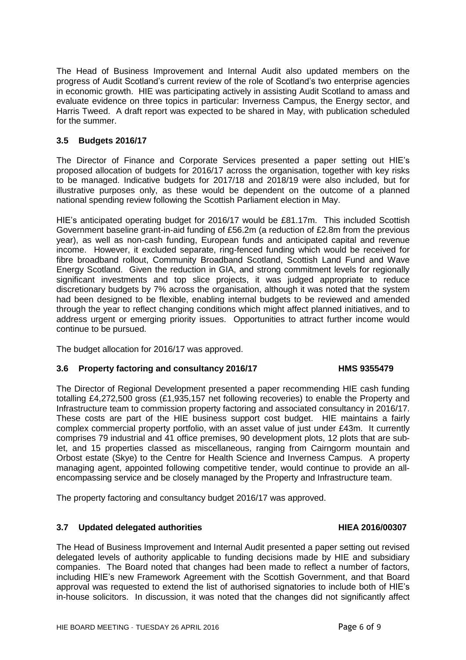The Head of Business Improvement and Internal Audit also updated members on the progress of Audit Scotland's current review of the role of Scotland's two enterprise agencies in economic growth. HIE was participating actively in assisting Audit Scotland to amass and evaluate evidence on three topics in particular: Inverness Campus, the Energy sector, and Harris Tweed. A draft report was expected to be shared in May, with publication scheduled for the summer.

# **3.5 Budgets 2016/17**

The Director of Finance and Corporate Services presented a paper setting out HIE's proposed allocation of budgets for 2016/17 across the organisation, together with key risks to be managed. Indicative budgets for 2017/18 and 2018/19 were also included, but for illustrative purposes only, as these would be dependent on the outcome of a planned national spending review following the Scottish Parliament election in May.

HIE's anticipated operating budget for 2016/17 would be £81.17m. This included Scottish Government baseline grant-in-aid funding of £56.2m (a reduction of £2.8m from the previous year), as well as non-cash funding, European funds and anticipated capital and revenue income. However, it excluded separate, ring-fenced funding which would be received for fibre broadband rollout, Community Broadband Scotland, Scottish Land Fund and Wave Energy Scotland. Given the reduction in GIA, and strong commitment levels for regionally significant investments and top slice projects, it was judged appropriate to reduce discretionary budgets by 7% across the organisation, although it was noted that the system had been designed to be flexible, enabling internal budgets to be reviewed and amended through the year to reflect changing conditions which might affect planned initiatives, and to address urgent or emerging priority issues. Opportunities to attract further income would continue to be pursued.

The budget allocation for 2016/17 was approved.

# **3.6 Property factoring and consultancy 2016/17 HMS 9355479**

The Director of Regional Development presented a paper recommending HIE cash funding totalling £4,272,500 gross (£1,935,157 net following recoveries) to enable the Property and Infrastructure team to commission property factoring and associated consultancy in 2016/17. These costs are part of the HIE business support cost budget. HIE maintains a fairly complex commercial property portfolio, with an asset value of just under £43m. It currently comprises 79 industrial and 41 office premises, 90 development plots, 12 plots that are sublet, and 15 properties classed as miscellaneous, ranging from Cairngorm mountain and Orbost estate (Skye) to the Centre for Health Science and Inverness Campus. A property managing agent, appointed following competitive tender, would continue to provide an allencompassing service and be closely managed by the Property and Infrastructure team.

The property factoring and consultancy budget 2016/17 was approved.

# **3.7 Updated delegated authorities HIEA 2016/00307**

The Head of Business Improvement and Internal Audit presented a paper setting out revised delegated levels of authority applicable to funding decisions made by HIE and subsidiary companies. The Board noted that changes had been made to reflect a number of factors, including HIE's new Framework Agreement with the Scottish Government, and that Board approval was requested to extend the list of authorised signatories to include both of HIE's in-house solicitors. In discussion, it was noted that the changes did not significantly affect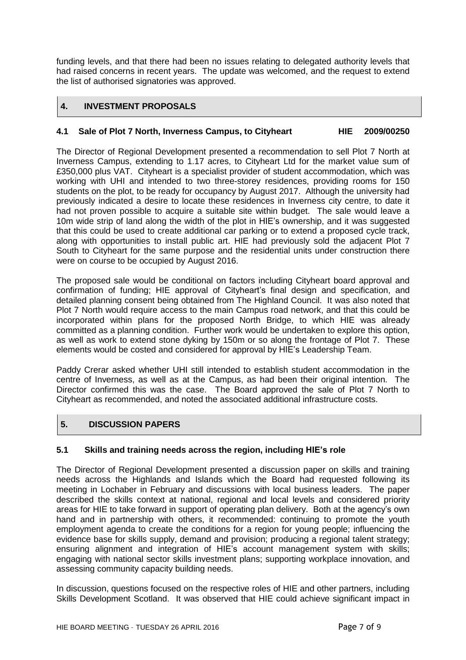funding levels, and that there had been no issues relating to delegated authority levels that had raised concerns in recent years. The update was welcomed, and the request to extend the list of authorised signatories was approved.

# **4. INVESTMENT PROPOSALS**

# **4.1 Sale of Plot 7 North, Inverness Campus, to Cityheart HIE 2009/00250**

The Director of Regional Development presented a recommendation to sell Plot 7 North at Inverness Campus, extending to 1.17 acres, to Cityheart Ltd for the market value sum of £350,000 plus VAT. Cityheart is a specialist provider of student accommodation, which was working with UHI and intended to two three-storey residences, providing rooms for 150 students on the plot, to be ready for occupancy by August 2017. Although the university had previously indicated a desire to locate these residences in Inverness city centre, to date it had not proven possible to acquire a suitable site within budget. The sale would leave a 10m wide strip of land along the width of the plot in HIE's ownership, and it was suggested that this could be used to create additional car parking or to extend a proposed cycle track, along with opportunities to install public art. HIE had previously sold the adjacent Plot 7 South to Cityheart for the same purpose and the residential units under construction there were on course to be occupied by August 2016.

The proposed sale would be conditional on factors including Cityheart board approval and confirmation of funding; HIE approval of Cityheart's final design and specification, and detailed planning consent being obtained from The Highland Council. It was also noted that Plot 7 North would require access to the main Campus road network, and that this could be incorporated within plans for the proposed North Bridge, to which HIE was already committed as a planning condition. Further work would be undertaken to explore this option, as well as work to extend stone dyking by 150m or so along the frontage of Plot 7. These elements would be costed and considered for approval by HIE's Leadership Team.

Paddy Crerar asked whether UHI still intended to establish student accommodation in the centre of Inverness, as well as at the Campus, as had been their original intention. The Director confirmed this was the case. The Board approved the sale of Plot 7 North to Cityheart as recommended, and noted the associated additional infrastructure costs.

# **5. DISCUSSION PAPERS**

# **5.1 Skills and training needs across the region, including HIE's role**

The Director of Regional Development presented a discussion paper on skills and training needs across the Highlands and Islands which the Board had requested following its meeting in Lochaber in February and discussions with local business leaders. The paper described the skills context at national, regional and local levels and considered priority areas for HIE to take forward in support of operating plan delivery. Both at the agency's own hand and in partnership with others, it recommended: continuing to promote the youth employment agenda to create the conditions for a region for young people; influencing the evidence base for skills supply, demand and provision; producing a regional talent strategy; ensuring alignment and integration of HIE's account management system with skills; engaging with national sector skills investment plans; supporting workplace innovation, and assessing community capacity building needs.

In discussion, questions focused on the respective roles of HIE and other partners, including Skills Development Scotland. It was observed that HIE could achieve significant impact in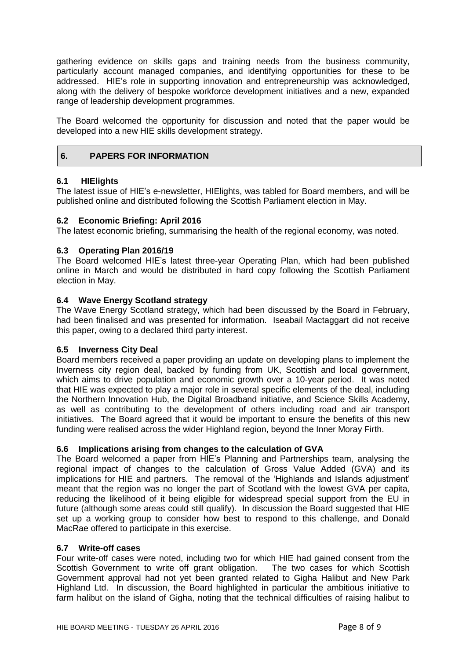gathering evidence on skills gaps and training needs from the business community, particularly account managed companies, and identifying opportunities for these to be addressed. HIE's role in supporting innovation and entrepreneurship was acknowledged, along with the delivery of bespoke workforce development initiatives and a new, expanded range of leadership development programmes.

The Board welcomed the opportunity for discussion and noted that the paper would be developed into a new HIE skills development strategy.

# **6. PAPERS FOR INFORMATION**

# **6.1 HIElights**

The latest issue of HIE's e-newsletter, HIElights, was tabled for Board members, and will be published online and distributed following the Scottish Parliament election in May.

### **6.2 Economic Briefing: April 2016**

The latest economic briefing, summarising the health of the regional economy, was noted.

### **6.3 Operating Plan 2016/19**

The Board welcomed HIE's latest three-year Operating Plan, which had been published online in March and would be distributed in hard copy following the Scottish Parliament election in May.

# **6.4 Wave Energy Scotland strategy**

The Wave Energy Scotland strategy, which had been discussed by the Board in February, had been finalised and was presented for information. Iseabail Mactaggart did not receive this paper, owing to a declared third party interest.

#### **6.5 Inverness City Deal**

Board members received a paper providing an update on developing plans to implement the Inverness city region deal, backed by funding from UK, Scottish and local government, which aims to drive population and economic growth over a 10-year period. It was noted that HIE was expected to play a major role in several specific elements of the deal, including the Northern Innovation Hub, the Digital Broadband initiative, and Science Skills Academy, as well as contributing to the development of others including road and air transport initiatives. The Board agreed that it would be important to ensure the benefits of this new funding were realised across the wider Highland region, beyond the Inner Moray Firth.

#### **6.6 Implications arising from changes to the calculation of GVA**

The Board welcomed a paper from HIE's Planning and Partnerships team, analysing the regional impact of changes to the calculation of Gross Value Added (GVA) and its implications for HIE and partners. The removal of the 'Highlands and Islands adjustment' meant that the region was no longer the part of Scotland with the lowest GVA per capita, reducing the likelihood of it being eligible for widespread special support from the EU in future (although some areas could still qualify). In discussion the Board suggested that HIE set up a working group to consider how best to respond to this challenge, and Donald MacRae offered to participate in this exercise.

#### **6.7 Write-off cases**

Four write-off cases were noted, including two for which HIE had gained consent from the Scottish Government to write off grant obligation. The two cases for which Scottish Government approval had not yet been granted related to Gigha Halibut and New Park Highland Ltd. In discussion, the Board highlighted in particular the ambitious initiative to farm halibut on the island of Gigha, noting that the technical difficulties of raising halibut to